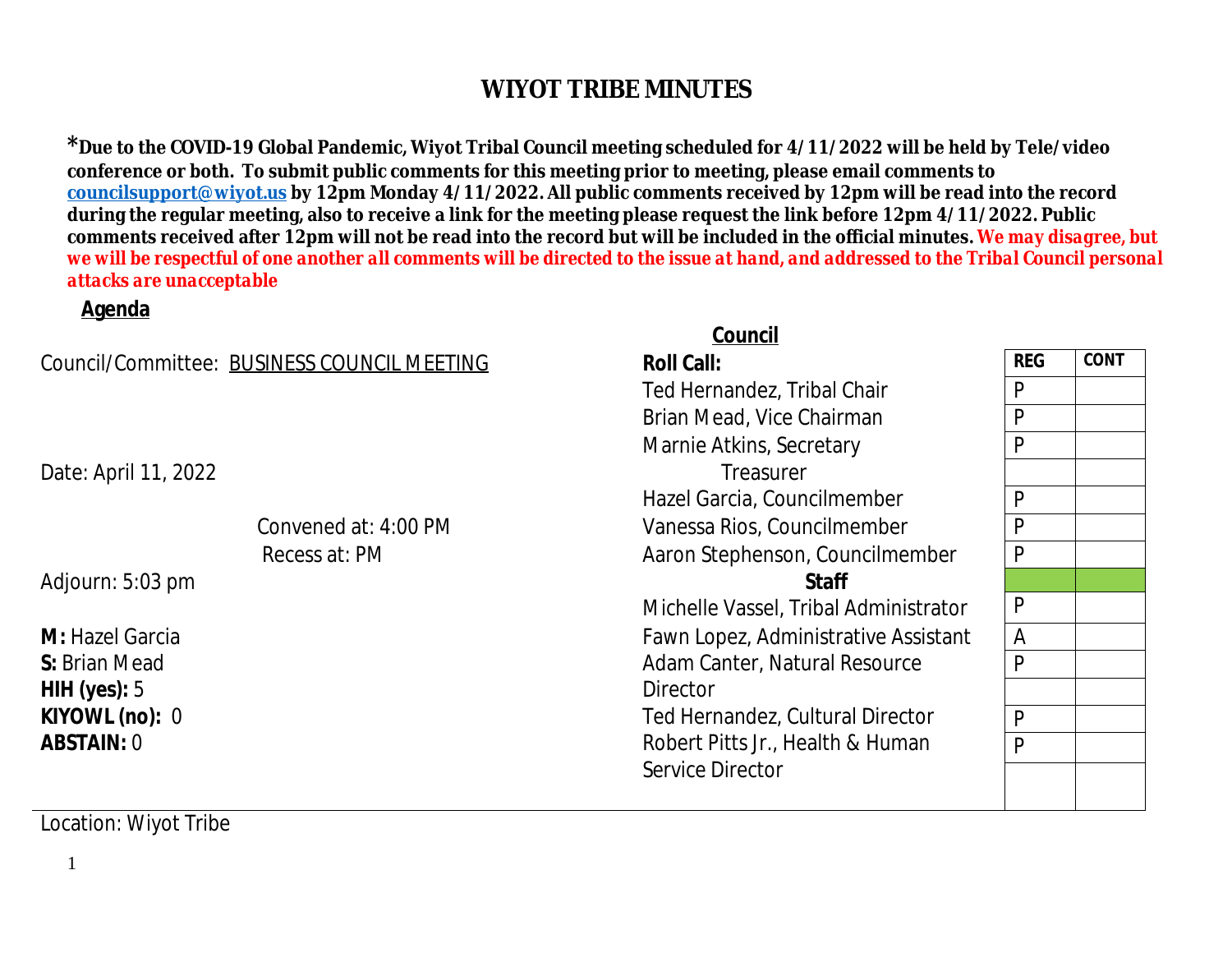<sup>\*</sup> Due to the COVID-19 Global Pandemic, Wiyot Tribal Council meeting scheduled for 4/11/2022 will be l conference or both. To submit public comments for this meeting prior to meeting, please email commen **councilsupport@wiyot.us by 12pm Monday 4/11/2022. All public comments received by 12pm will be reading** during the regular meeting, also to receive a link for the meeting please request the link before 12pm 4. comments received after 12pm will not be read into the record but will be included in the official minut *we will be respectful of one another all comments will be directed to the issue at hand, and addressed to the Tribal Council personal council personal council personal council personal council personal council personal de attacks are unacceptable*

#### **Agenda**

### **Council** (1999) and the contract of the council of the council of the council of the council of the council of the council of the council of the council of the council of the council of the council of the council of the c

| Council/Committee: BUSINESS COUNCIL MEETING |                      | <b>Roll Call:</b>                    |  |  |
|---------------------------------------------|----------------------|--------------------------------------|--|--|
|                                             |                      | Ted Hernandez, Tribal Chair          |  |  |
|                                             |                      | Brian Mead, Vice Chairman            |  |  |
|                                             |                      | Marnie Atkins, Secretary             |  |  |
| Date: April 11, 2022                        |                      | Treasurer                            |  |  |
|                                             |                      | Hazel Garcia, Councilmember          |  |  |
|                                             | Convened at: 4:00 PM | Vanessa Rios, Councilmember          |  |  |
|                                             | Recess at: PM        | Aaron Stephenson, Councilmember      |  |  |
| Adjourn: 5:03 pm                            |                      | <b>Staff</b>                         |  |  |
|                                             |                      | Michelle Vassel, Tribal Administrate |  |  |
| M: Hazel Garcia                             |                      | Fawn Lopez, Administrative Assista   |  |  |
| S: Brian Mead                               |                      | Adam Canter, Natural Resource        |  |  |
|                                             |                      | <b>Director</b>                      |  |  |
| <b>HIH (yes):</b> 5                         |                      |                                      |  |  |
| KIYOWL (no): 0                              |                      | Ted Hernandez, Cultural Director     |  |  |
| <b>ABSTAIN:</b> 0                           |                      | Robert Pitts Jr., Health & Human     |  |  |
|                                             |                      | Service Director                     |  |  |

Location: Wiyot Tribe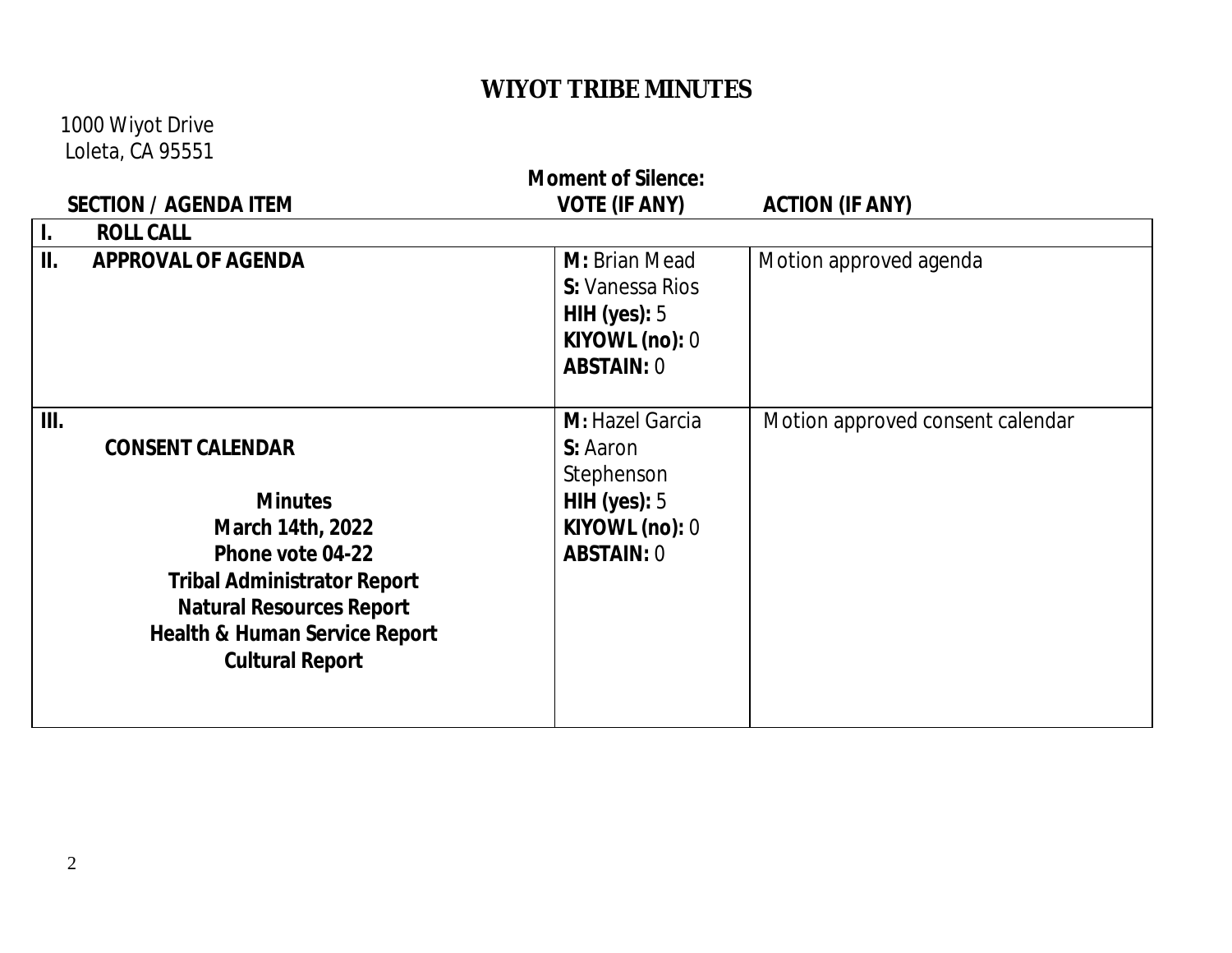1000 Wiyot Drive Loleta, CA 95551

| <b>Moment of Silence:</b> |                                                                                                                                                                                                                                  |                                                                                                    |                                  |  |  |
|---------------------------|----------------------------------------------------------------------------------------------------------------------------------------------------------------------------------------------------------------------------------|----------------------------------------------------------------------------------------------------|----------------------------------|--|--|
|                           | <b>SECTION / AGENDA ITEM</b>                                                                                                                                                                                                     | <b>VOTE (IF ANY)</b>                                                                               | <b>ACTION (IF ANY)</b>           |  |  |
| $\mathbf{I}$ .            | <b>ROLL CALL</b>                                                                                                                                                                                                                 |                                                                                                    |                                  |  |  |
| II.                       | <b>APPROVAL OF AGENDA</b>                                                                                                                                                                                                        | M: Brian Mead<br><b>S:</b> Vanessa Rios<br>HIH (yes): $5$<br>KIYOWL (no): 0<br><b>ABSTAIN: 0</b>   | Motion approved agenda           |  |  |
| III.                      | <b>CONSENT CALENDAR</b><br><b>Minutes</b><br>March 14th, 2022<br>Phone vote 04-22<br><b>Tribal Administrator Report</b><br><b>Natural Resources Report</b><br><b>Health &amp; Human Service Report</b><br><b>Cultural Report</b> | M: Hazel Garcia<br>S: Aaron<br>Stephenson<br>HIH (yes): $5$<br>KIYOWL (no): 0<br><b>ABSTAIN: 0</b> | Motion approved consent calendar |  |  |

2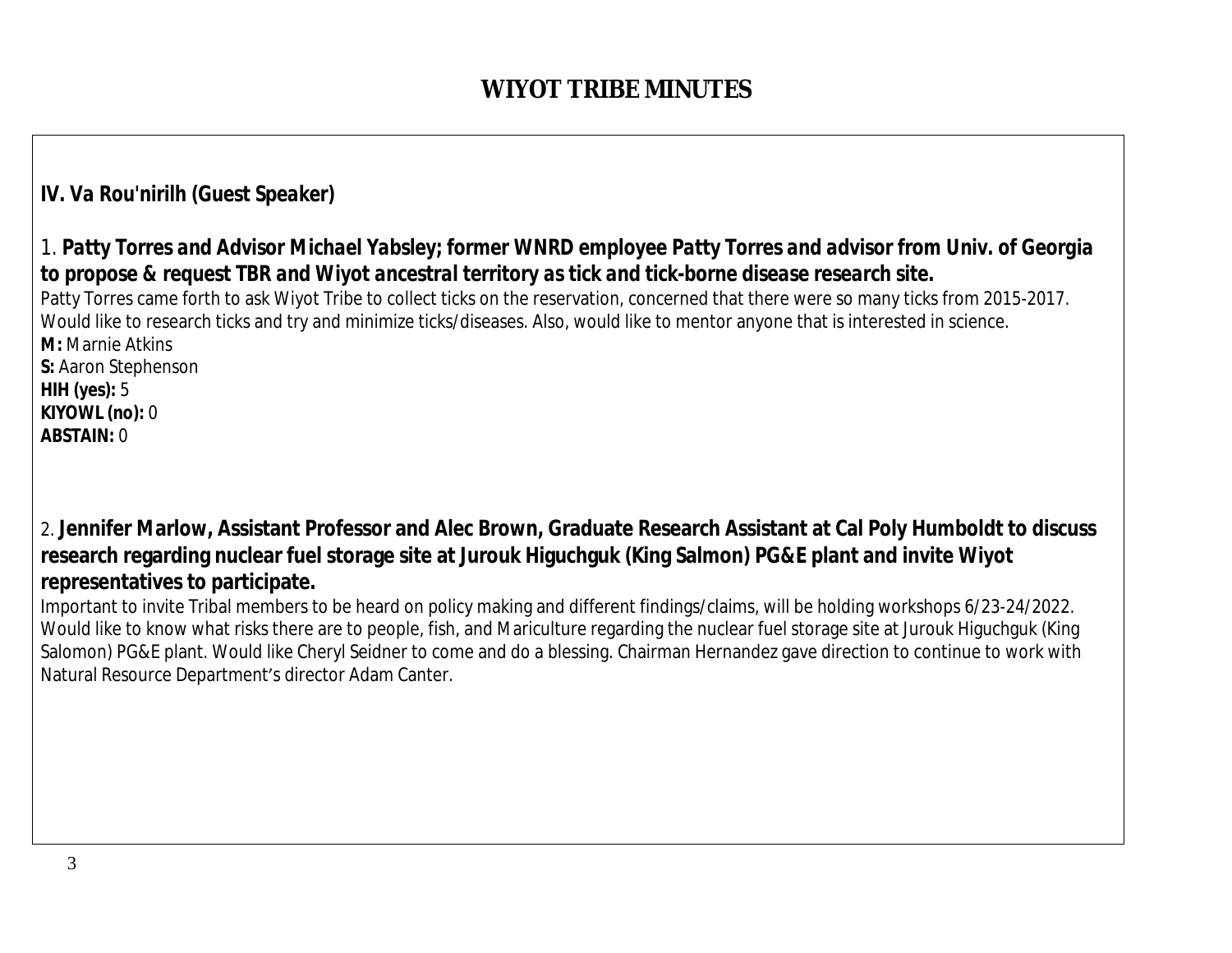## *IV. Va Rou'nirilh (Guest Speaker)*

### *1. Patty Torres and Advisor Michael Yabsley; former WNRD employee Patty Torres and advisor from Univ. of Georgia to propose & request TBR and Wiyot ancestral territory as tick and tick-borne disease research site.*

Patty Torres came forth to ask Wiyot Tribe to collect ticks on the reservation, concerned that there were so many ticks from 2015-2017. Would like to research ticks and try and minimize ticks/diseases. Also, would like to mentor anyone that is interested in science. **M:** Marnie Atkins **S:** Aaron Stephenson

**HIH (yes):** 5 **KIYOWL (no):** 0 **ABSTAIN:** 0

2. **Jennifer Marlow, Assistant Professor and Alec Brown, Graduate Research Assistant at Cal Poly Humboldt to discuss research regarding nuclear fuel storage site at Jurouk Higuchguk (King Salmon) PG&E plant and invite Wiyot representatives to participate.**

Important to invite Tribal members to be heard on policy making and different findings/claims, will be holding workshops 6/23-24/2022. Would like to know what risks there are to people, fish, and Mariculture regarding the nuclear fuel storage site at Jurouk Higuchguk (King Salomon) PG&E plant. Would like Cheryl Seidner to come and do a blessing. Chairman Hernandez gave direction to continue to work with Natural Resource Department's director Adam Canter.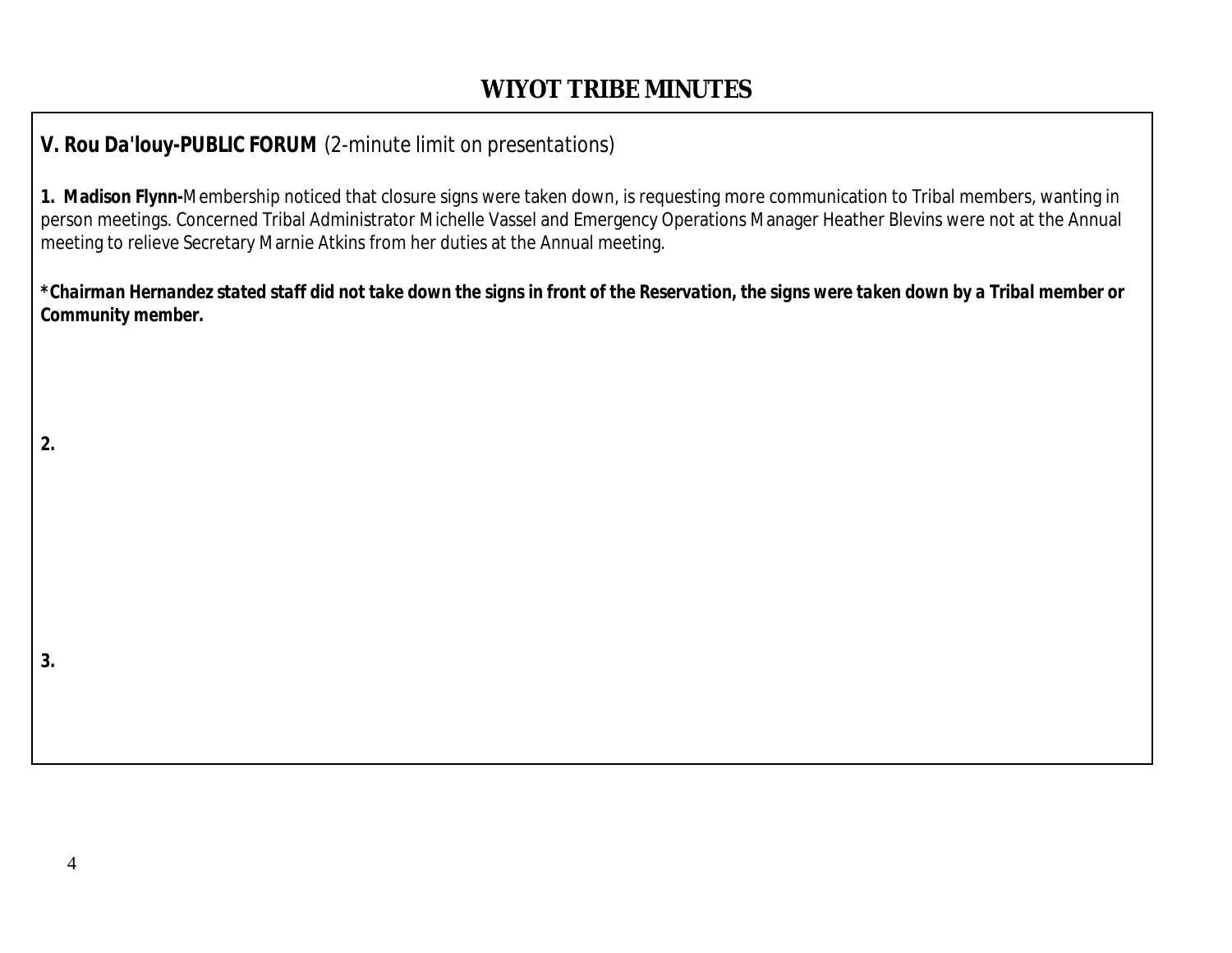## *V. Rou Da'louy-PUBLIC FORUM (2-minute limit on presentations)*

**1. Madison Flynn-**Membership noticed that closure signs were taken down, is requesting more communication to Tribal members, wanting in person meetings. Concerned Tribal Administrator Michelle Vassel and Emergency Operations Manager Heather Blevins were not at the Annual meeting to relieve Secretary Marnie Atkins from her duties at the Annual meeting.

*\*Chairman Hernandez stated staff did not take down the signs in front of the Reservation, the signs were taken down by a Tribal member or Community member.*

**2.**

**3.**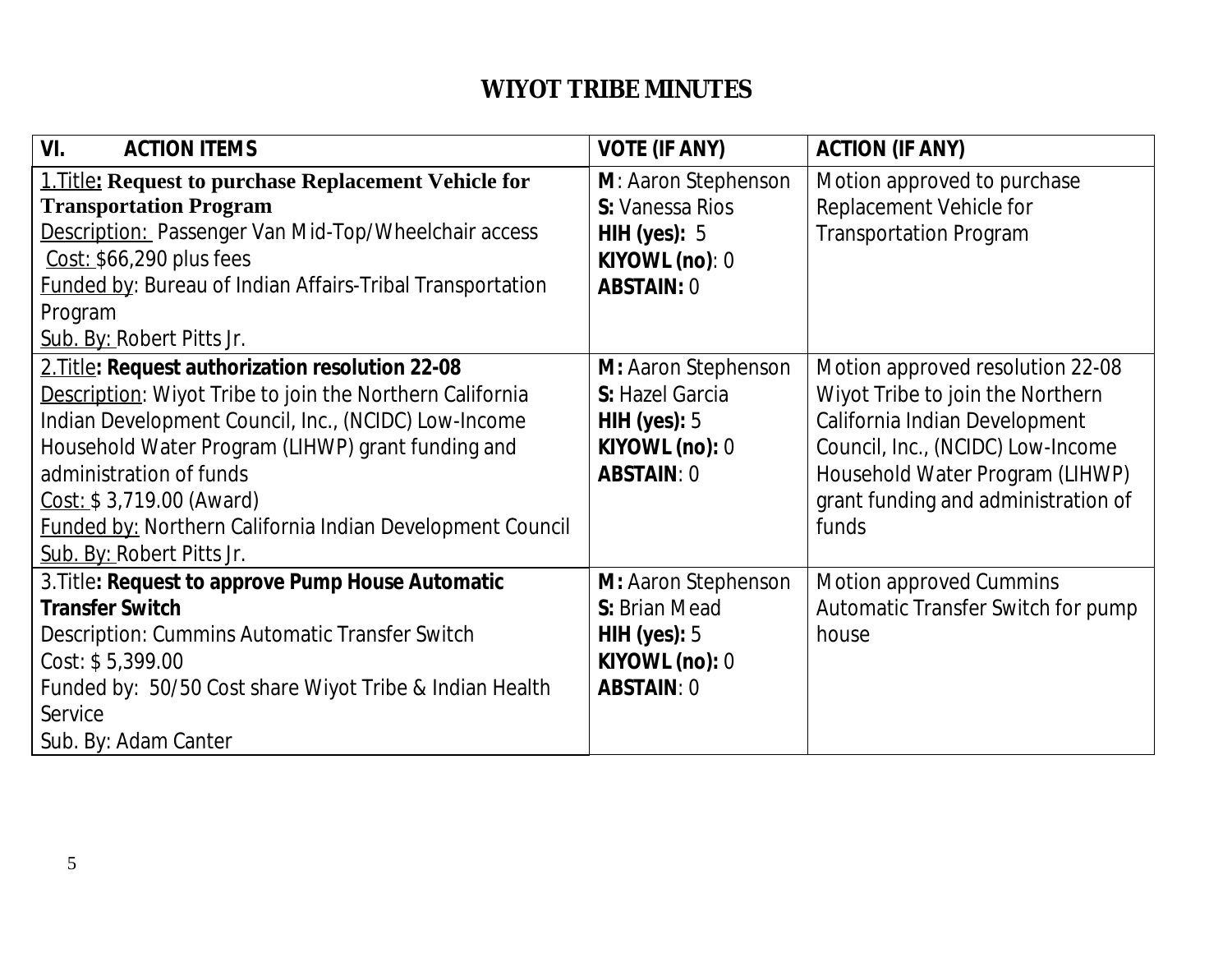| VI.<br><b>ACTION ITEMS</b>                                       | <b>VOTE (IF ANY)</b> | <b>ACTION (IF ANY)</b>              |
|------------------------------------------------------------------|----------------------|-------------------------------------|
| <b>1. Title: Request to purchase Replacement Vehicle for</b>     | M: Aaron Stephenson  | Motion approved to purchase         |
| <b>Transportation Program</b>                                    | S: Vanessa Rios      | Replacement Vehicle for             |
| <b>Description: Passenger Van Mid-Top/Wheelchair access</b>      | HIH (yes): $5$       | <b>Transportation Program</b>       |
| Cost: \$66,290 plus fees                                         | KIYOWL (no): 0       |                                     |
| <b>Funded by: Bureau of Indian Affairs-Tribal Transportation</b> | <b>ABSTAIN: 0</b>    |                                     |
| Program                                                          |                      |                                     |
| Sub. By: Robert Pitts Jr.                                        |                      |                                     |
| 2. Title: Request authorization resolution 22-08                 | M: Aaron Stephenson  | Motion approved resolution 22-08    |
| Description: Wiyot Tribe to join the Northern California         | S: Hazel Garcia      | Wiyot Tribe to join the Northern    |
| Indian Development Council, Inc., (NCIDC) Low-Income             | HIH (yes): $5$       | California Indian Development       |
| Household Water Program (LIHWP) grant funding and                | KIYOWL (no): 0       | Council, Inc., (NCIDC) Low-Income   |
| administration of funds                                          | <b>ABSTAIN: 0</b>    | Household Water Program (LIHWP)     |
| Cost: \$3,719.00 (Award)                                         |                      | grant funding and administration of |
| <b>Funded by: Northern California Indian Development Council</b> |                      | funds                               |
| Sub. By: Robert Pitts Jr.                                        |                      |                                     |
| 3. Title: Request to approve Pump House Automatic                | M: Aaron Stephenson  | Motion approved Cummins             |
| <b>Transfer Switch</b>                                           | S: Brian Mead        | Automatic Transfer Switch for pump  |
| Description: Cummins Automatic Transfer Switch                   | HIH (yes): $5$       | house                               |
| Cost: \$5,399.00                                                 | KIYOWL (no): 0       |                                     |
| Funded by: 50/50 Cost share Wiyot Tribe & Indian Health          | <b>ABSTAIN: 0</b>    |                                     |
| Service                                                          |                      |                                     |
| Sub. By: Adam Canter                                             |                      |                                     |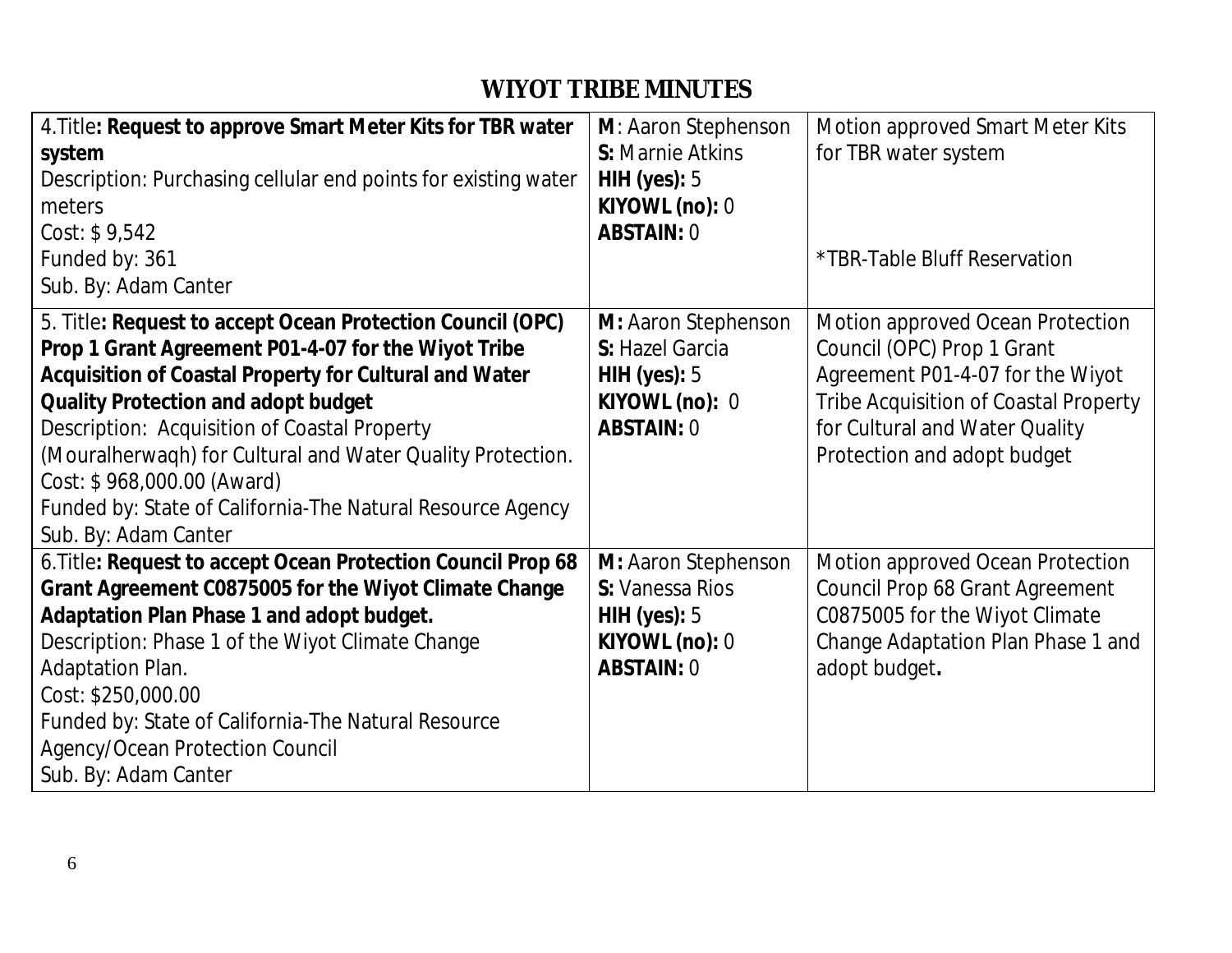| 4. Title: Request to approve Smart Meter Kits for TBR water<br>system<br>Description: Purchasing cellular end points for existing water<br>meters<br>Cost: \$9,542<br>Funded by: 361<br>Sub. By: Adam Canter                                                                                                                                                                                                                                                | M: Aaron Stephenson<br><b>S:</b> Marnie Atkins<br>HIH (yes): $5$<br>KIYOWL (no): $0$<br><b>ABSTAIN: 0</b> | Motion approved Smart Meter Kits<br>for TBR water system<br>*TBR-Table Bluff Reservation                                                                                                                     |
|-------------------------------------------------------------------------------------------------------------------------------------------------------------------------------------------------------------------------------------------------------------------------------------------------------------------------------------------------------------------------------------------------------------------------------------------------------------|-----------------------------------------------------------------------------------------------------------|--------------------------------------------------------------------------------------------------------------------------------------------------------------------------------------------------------------|
| 5. Title: Request to accept Ocean Protection Council (OPC)<br>Prop 1 Grant Agreement P01-4-07 for the Wiyot Tribe<br>Acquisition of Coastal Property for Cultural and Water<br><b>Quality Protection and adopt budget</b><br>Description: Acquisition of Coastal Property<br>(Mouralherwagh) for Cultural and Water Quality Protection.<br>Cost: \$968,000.00 (Award)<br>Funded by: State of California-The Natural Resource Agency<br>Sub. By: Adam Canter | M: Aaron Stephenson<br>S: Hazel Garcia<br>HIH (yes): $5$<br>KIYOWL (no): 0<br><b>ABSTAIN: 0</b>           | Motion approved Ocean Protection<br>Council (OPC) Prop 1 Grant<br>Agreement P01-4-07 for the Wiyot<br>Tribe Acquisition of Coastal Property<br>for Cultural and Water Quality<br>Protection and adopt budget |
| 6. Title: Request to accept Ocean Protection Council Prop 68<br>Grant Agreement C0875005 for the Wiyot Climate Change<br>Adaptation Plan Phase 1 and adopt budget.<br>Description: Phase 1 of the Wiyot Climate Change<br>Adaptation Plan.<br>Cost: \$250,000.00<br>Funded by: State of California-The Natural Resource<br>Agency/Ocean Protection Council<br>Sub. By: Adam Canter                                                                          | M: Aaron Stephenson<br>S: Vanessa Rios<br>HIH (yes): $5$<br>KIYOWL (no): $0$<br><b>ABSTAIN: 0</b>         | Motion approved Ocean Protection<br>Council Prop 68 Grant Agreement<br>C0875005 for the Wiyot Climate<br>Change Adaptation Plan Phase 1 and<br>adopt budget.                                                 |